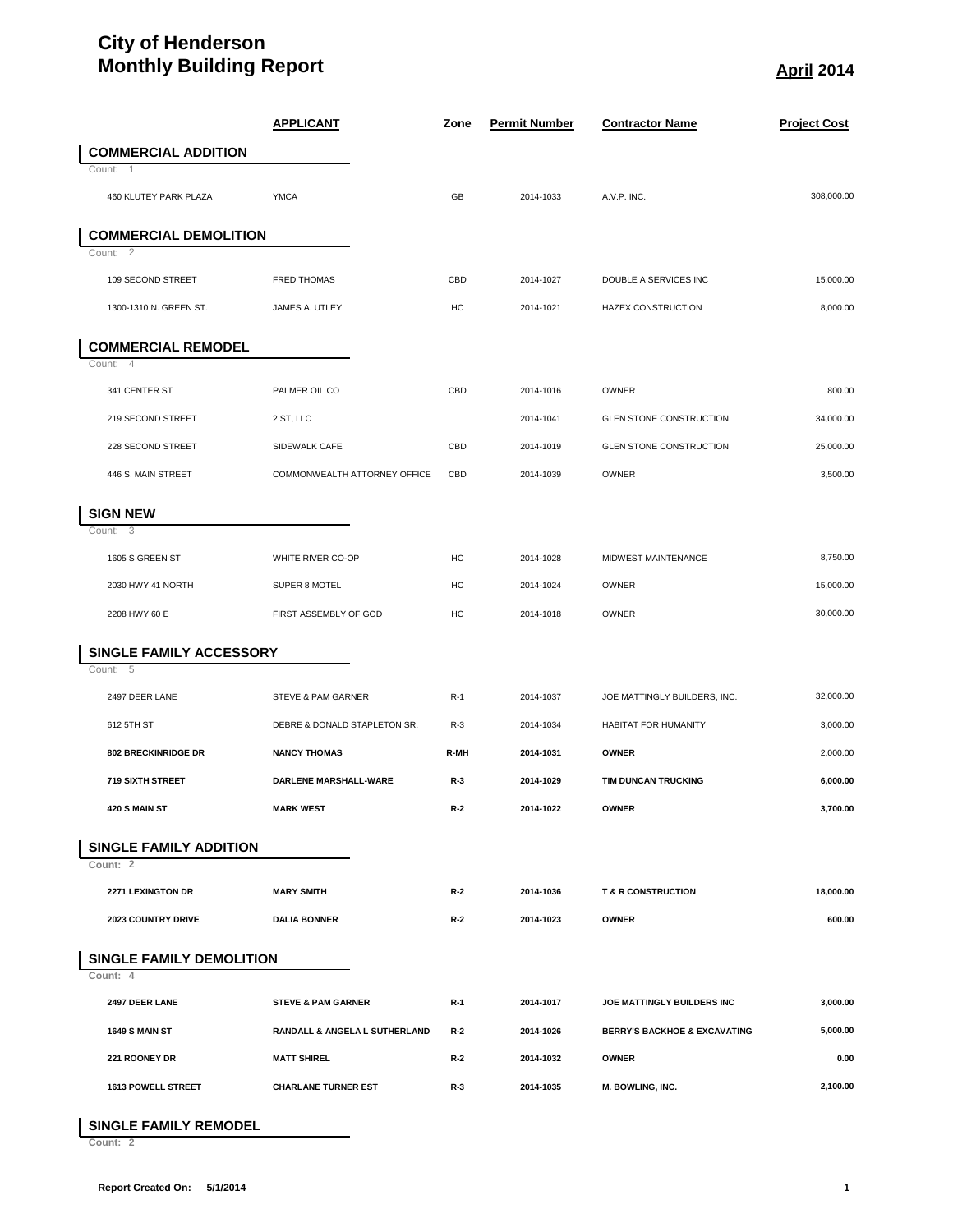## **City of Henderson Monthly Building Report April 2014**

|                                 | <b>APPLICANT</b>              | Zone  | <b>Permit Number</b> | <b>Contractor Name</b>                  | <b>Project Cost</b> |
|---------------------------------|-------------------------------|-------|----------------------|-----------------------------------------|---------------------|
| <b>COMMERCIAL ADDITION</b>      |                               |       |                      |                                         |                     |
| Count: 1                        |                               |       |                      |                                         |                     |
| 460 KLUTEY PARK PLAZA           | <b>YMCA</b>                   | GB    | 2014-1033            | A.V.P. INC.                             | 308,000.00          |
| <b>COMMERCIAL DEMOLITION</b>    |                               |       |                      |                                         |                     |
| Count: 2                        |                               |       |                      |                                         |                     |
| 109 SECOND STREET               | <b>FRED THOMAS</b>            | CBD   | 2014-1027            | DOUBLE A SERVICES INC                   | 15,000.00           |
| 1300-1310 N. GREEN ST.          | JAMES A. UTLEY                | HC    | 2014-1021            | <b>HAZEX CONSTRUCTION</b>               | 8,000.00            |
| <b>COMMERCIAL REMODEL</b>       |                               |       |                      |                                         |                     |
| Count: 4                        |                               |       |                      |                                         |                     |
| 341 CENTER ST                   | PALMER OIL CO                 | CBD   | 2014-1016            | OWNER                                   | 800.00              |
| 219 SECOND STREET               | 2 ST, LLC                     |       | 2014-1041            | <b>GLEN STONE CONSTRUCTION</b>          | 34,000.00           |
| 228 SECOND STREET               | SIDEWALK CAFE                 | CBD   | 2014-1019            | GLEN STONE CONSTRUCTION                 | 25,000.00           |
| 446 S. MAIN STREET              | COMMONWEALTH ATTORNEY OFFICE  | CBD   | 2014-1039            | OWNER                                   | 3,500.00            |
| <b>SIGN NEW</b>                 |                               |       |                      |                                         |                     |
| Count: 3                        |                               |       |                      |                                         |                     |
| 1605 S GREEN ST                 | WHITE RIVER CO-OP             | HC    | 2014-1028            | MIDWEST MAINTENANCE                     | 8.750.00            |
| 2030 HWY 41 NORTH               | SUPER 8 MOTEL                 | HC    | 2014-1024            | OWNER                                   | 15,000.00           |
| 2208 HWY 60 E                   | FIRST ASSEMBLY OF GOD         | HC    | 2014-1018            | OWNER                                   | 30,000.00           |
| SINGLE FAMILY ACCESSORY         |                               |       |                      |                                         |                     |
| Count: 5                        |                               |       |                      |                                         |                     |
| 2497 DEER LANE                  | STEVE & PAM GARNER            | $R-1$ | 2014-1037            | JOE MATTINGLY BUILDERS, INC.            | 32,000.00           |
| 612 5TH ST                      | DEBRE & DONALD STAPLETON SR.  | $R-3$ | 2014-1034            | HABITAT FOR HUMANITY                    | 3,000.00            |
| <b>802 BRECKINRIDGE DR</b>      | <b>NANCY THOMAS</b>           | R-MH  | 2014-1031            | <b>OWNER</b>                            | 2,000.00            |
| <b>719 SIXTH STREET</b>         | DARLENE MARSHALL-WARE         | $R-3$ | 2014-1029            | TIM DUNCAN TRUCKING                     | 6,000.00            |
| 420 S MAIN ST                   | <b>MARK WEST</b>              | R-2   | 2014-1022            | <b>OWNER</b>                            | 3,700.00            |
| <b>SINGLE FAMILY ADDITION</b>   |                               |       |                      |                                         |                     |
| Count: 2                        |                               |       |                      |                                         |                     |
| 2271 LEXINGTON DR               | <b>MARY SMITH</b>             | $R-2$ | 2014-1036            | <b>T &amp; R CONSTRUCTION</b>           | 18,000.00           |
| 2023 COUNTRY DRIVE              | <b>DALIA BONNER</b>           | $R-2$ | 2014-1023            | <b>OWNER</b>                            | 600.00              |
| <b>SINGLE FAMILY DEMOLITION</b> |                               |       |                      |                                         |                     |
| Count: 4                        |                               |       |                      |                                         |                     |
| 2497 DEER LANE                  | <b>STEVE &amp; PAM GARNER</b> | $R-1$ | 2014-1017            | JOE MATTINGLY BUILDERS INC              | 3,000.00            |
| <b>1649 S MAIN ST</b>           | RANDALL & ANGELA L SUTHERLAND | R-2   | 2014-1026            | <b>BERRY'S BACKHOE &amp; EXCAVATING</b> | 5,000.00            |
| 221 ROONEY DR                   | <b>MATT SHIREL</b>            | R-2   | 2014-1032            | <b>OWNER</b>                            | 0.00                |
| <b>1613 POWELL STREET</b>       | <b>CHARLANE TURNER EST</b>    | R-3   | 2014-1035            | <b>M. BOWLING, INC.</b>                 | 2,100.00            |

## **SINGLE FAMILY REMODEL**

**Count: 2**